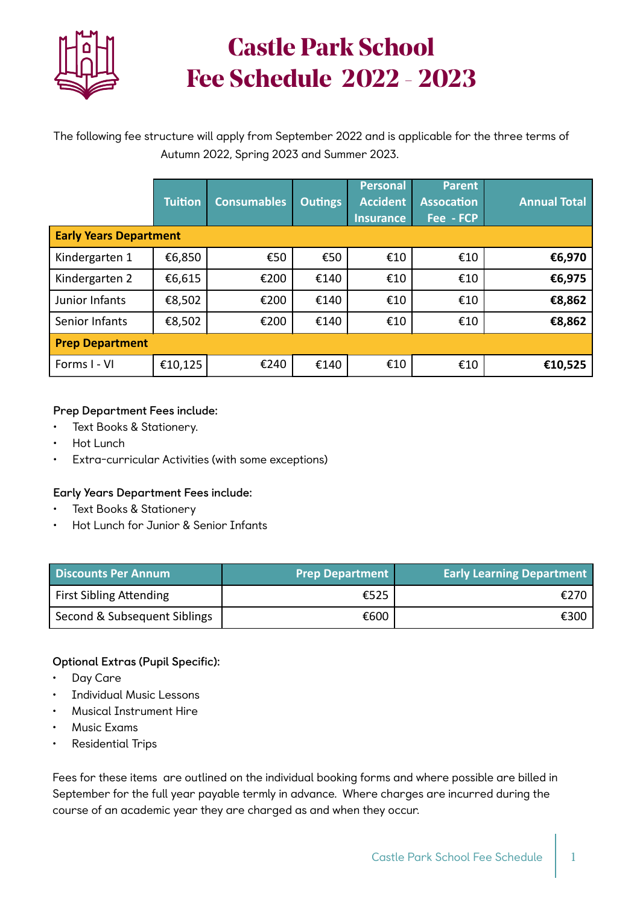

# **Castle Park School Fee Schedule 2022 - 2023**

The following fee structure will apply from September 2022 and is applicable for the three terms of Autumn 2022, Spring 2023 and Summer 2023.

|                               | <b>Tuition</b> | <b>Consumables</b> | <b>Outings</b> | <b>Personal</b><br><b>Accident</b><br><b>Insurance</b> | <b>Parent</b><br><b>Assocation</b><br>Fee - FCP | <b>Annual Total</b> |
|-------------------------------|----------------|--------------------|----------------|--------------------------------------------------------|-------------------------------------------------|---------------------|
| <b>Early Years Department</b> |                |                    |                |                                                        |                                                 |                     |
| Kindergarten 1                | €6,850         | €50                | €50            | €10                                                    | €10                                             | €6,970              |
| Kindergarten 2                | €6,615         | €200               | €140           | €10                                                    | €10                                             | €6,975              |
| Junior Infants                | €8,502         | €200               | €140           | €10                                                    | €10                                             | €8,862              |
| Senior Infants                | €8,502         | €200               | €140           | €10                                                    | €10                                             | €8,862              |
| <b>Prep Department</b>        |                |                    |                |                                                        |                                                 |                     |
| Forms I - VI                  | €10,125        | €240               | €140           | €10                                                    | €10                                             | €10,525             |

#### **Prep Department Fees include:**

- Text Books & Stationery.
- Hot Lunch
- Extra-curricular Activities (with some exceptions)

#### **Early Years Department Fees include:**

- Text Books & Stationery
- Hot Lunch for Junior & Senior Infants

| <b>Discounts Per Annum</b>     | <b>Prep Department</b> | <b>Early Learning Department</b> |
|--------------------------------|------------------------|----------------------------------|
| <b>First Sibling Attending</b> | €525                   | €270                             |
| Second & Subsequent Siblings   | €600                   | €300                             |

#### **Optional Extras (Pupil Specific):**

- Day Care
- Individual Music Lessons
- Musical Instrument Hire
- Music Exams
- Residential Trips

Fees for these items are outlined on the individual booking forms and where possible are billed in September for the full year payable termly in advance. Where charges are incurred during the course of an academic year they are charged as and when they occur.